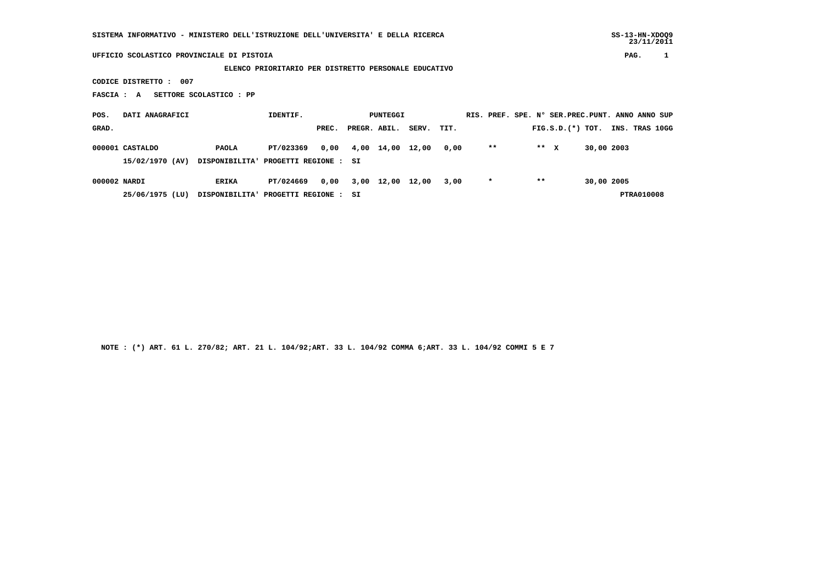## **UFFICIO SCOLASTICO PROVINCIALE DI PISTOIA PAG. 1**

## **ELENCO PRIORITARIO PER DISTRETTO PERSONALE EDUCATIVO**

 **CODICE DISTRETTO : 007**

 **FASCIA : A SETTORE SCOLASTICO : PP**

| POS.         | DATI ANAGRAFICI |                                      | IDENTIF.              | PUNTEGGI |              |                  |            |      |         |       | RIS. PREF. SPE. Nº SER. PREC. PUNT. ANNO ANNO SUP |            |                |            |  |
|--------------|-----------------|--------------------------------------|-----------------------|----------|--------------|------------------|------------|------|---------|-------|---------------------------------------------------|------------|----------------|------------|--|
| GRAD.        |                 |                                      |                       | PREC.    | PREGR. ABIL. |                  | SERV. TIT. |      |         |       | $FIG.S.D.$ $(*)$ TOT.                             |            | INS. TRAS 10GG |            |  |
|              | 000001 CASTALDO | <b>PAOLA</b>                         | PT/023369             | 0.00     | 4,00         | 14,00            | 12,00      | 0,00 | $***$   |       | ** X                                              | 30,00 2003 |                |            |  |
|              | 15/02/1970 (AV) | DISPONIBILITA' PROGETTI REGIONE : SI |                       |          |              |                  |            |      |         |       |                                                   |            |                |            |  |
| 000002 NARDI |                 | ERIKA                                | PT/024669             | 0.00     |              | 3,00 12,00 12,00 |            | 3,00 | $\star$ | $* *$ |                                                   | 30,00 2005 |                |            |  |
|              | 25/06/1975 (LU) | <b>DISPONIBILITA'</b>                | PROGETTI REGIONE : SI |          |              |                  |            |      |         |       |                                                   |            |                | PTRA010008 |  |

 **NOTE : (\*) ART. 61 L. 270/82; ART. 21 L. 104/92;ART. 33 L. 104/92 COMMA 6;ART. 33 L. 104/92 COMMI 5 E 7**